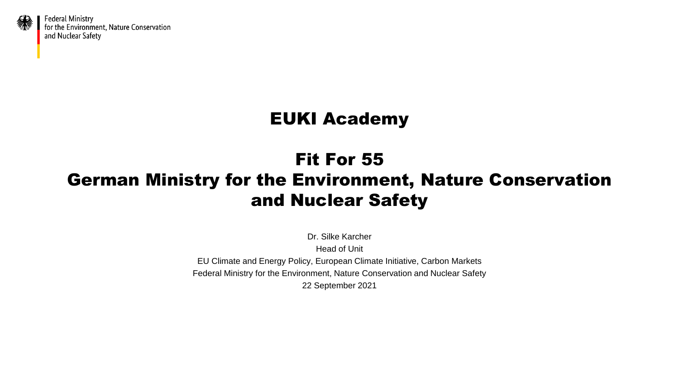

### EUKI Academy

### Fit For 55 German Ministry for the Environment, Nature Conservation and Nuclear Safety

Dr. Silke Karcher Head of Unit EU Climate and Energy Policy, European Climate Initiative, Carbon Markets Federal Ministry for the Environment, Nature Conservation and Nuclear Safety 22 September 2021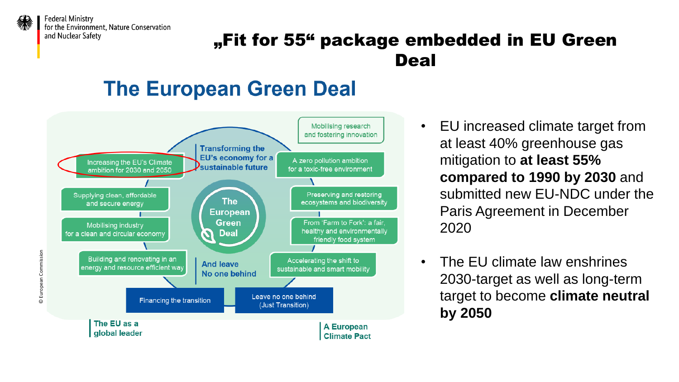

### "Fit for 55" package embedded in EU Green Deal

# **The European Green Deal**



- EU increased climate target from at least 40% greenhouse gas mitigation to **at least 55% compared to 1990 by 2030** and submitted new EU-NDC under the Paris Agreement in December 2020
- The EU climate law enshrines 2030-target as well as long-term target to become **climate neutral by 2050**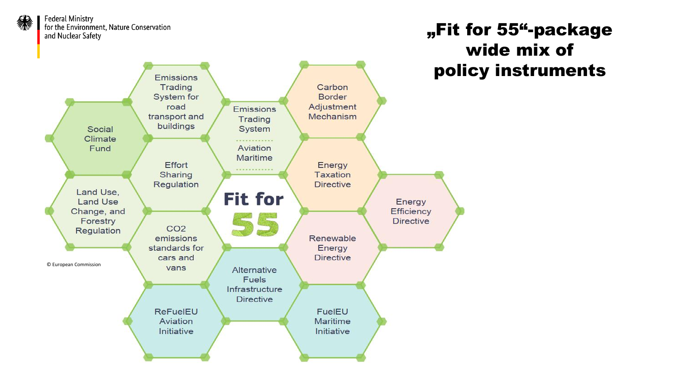### "Fit for 55"-package wide mix of policy instruments

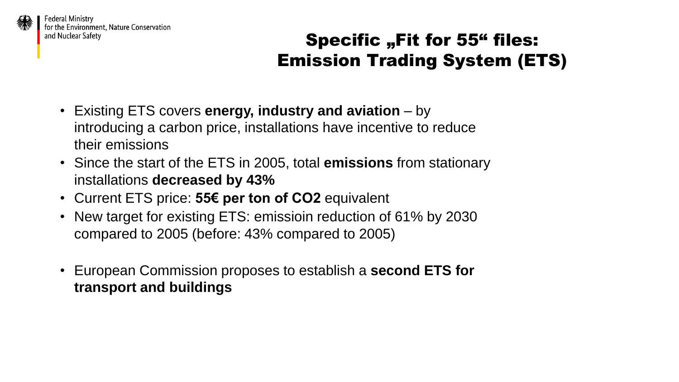

# **Specific "Fit for 55" files:** Emission Trading System (ETS)

- Existing ETS covers **energy, industry and aviation** by introducing a carbon price, installations have incentive to reduce their emissions
- Since the start of the ETS in 2005, total **emissions** from stationary installations **decreased by 43%**
- Current ETS price: **55€ per ton of CO2** equivalent
- New target for existing ETS: emissioin reduction of 61% by 2030 compared to 2005 (before: 43% compared to 2005)
- European Commission proposes to establish a **second ETS for transport and buildings**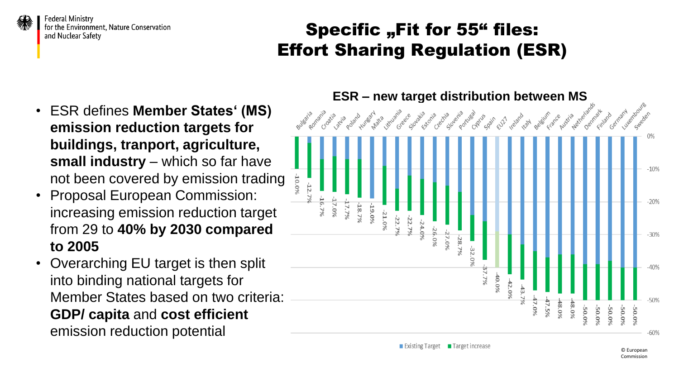

# Specific "Fit for 55" files: Effort Sharing Regulation (ESR)

- ESR defines **Member States' (MS) emission reduction targets for buildings, tranport, agriculture, small industry** – which so far have not been covered by emission trading
- Proposal European Commission: increasing emission reduction target from 29 to **40% by 2030 compared to 2005**
- Overarching EU target is then split into binding national targets for Member States based on two criteria: **GDP/ capita** and **cost efficient** emission reduction potential



 $\blacksquare$  Existing Target  $\blacksquare$  Target increase

**ESR – new target distribution between MS**

 $-60%$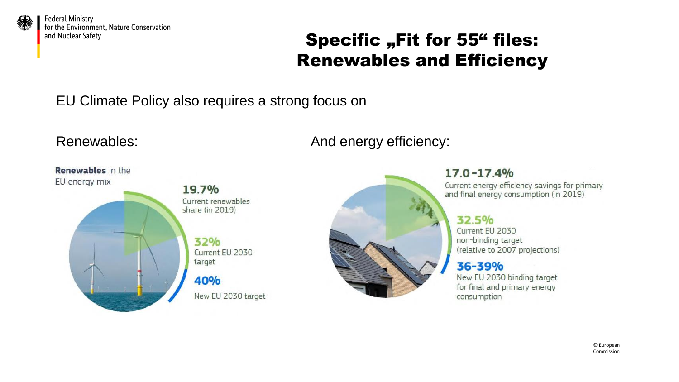

### Specific "Fit for 55" files: Renewables and Efficiency

EU Climate Policy also requires a strong focus on

**Renewables** in the

EU energy mix 19.7% Current renewables share (in 2019) 32% Current EU 2030 target 40% New EU 2030 target

Renewables:  $\blacksquare$  And energy efficiency:

#### 17.0-17.4%

Current energy efficiency savings for primary and final energy consumption (in 2019)

#### 32.5%

Current EU 2030 non-binding target (relative to 2007 projections)

### 36-39%

New EU 2030 binding target for final and primary energy consumption

#### © European Commission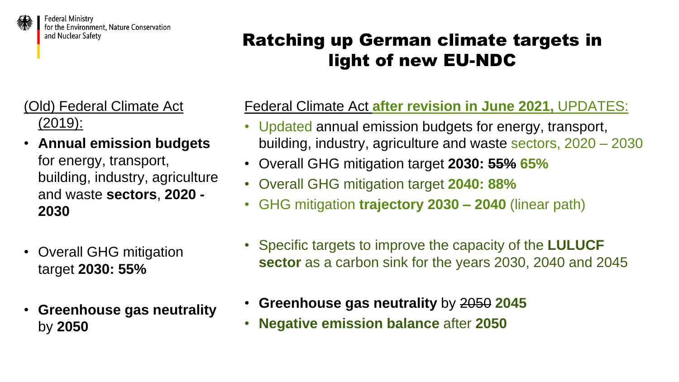

# Ratching up German climate targets in light of new EU-NDC

(Old) Federal Climate Act (2019):

- **Annual emission budgets** for energy, transport, building, industry, agriculture and waste **sectors**, **2020 - 2030**
- Overall GHG mitigation target **2030: 55%**
- **Greenhouse gas neutrality** by **2050**

### Federal Climate Act **after revision in June 2021,** UPDATES:

- Updated annual emission budgets for energy, transport, building, industry, agriculture and waste sectors, 2020 – 2030
- Overall GHG mitigation target **2030: 55% 65%**
- Overall GHG mitigation target **2040: 88%**
- GHG mitigation **trajectory 2030 – 2040** (linear path)
- Specific targets to improve the capacity of the **LULUCF sector** as a carbon sink for the years 2030, 2040 and 2045
- **Greenhouse gas neutrality** by 2050 **2045**
- **Negative emission balance** after **2050**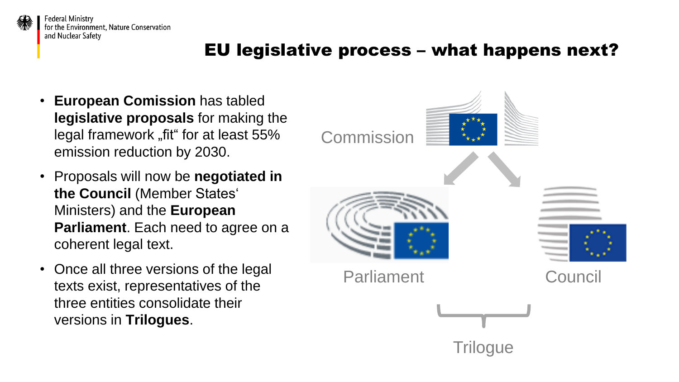

### EU legislative process – what happens next?

- **European Comission** has tabled **legislative proposals** for making the legal framework "fit" for at least 55% emission reduction by 2030.
- Proposals will now be **negotiated in the Council** (Member States' Ministers) and the **European Parliament**. Each need to agree on a coherent legal text.
- Once all three versions of the legal texts exist, representatives of the three entities consolidate their versions in **Trilogues**.